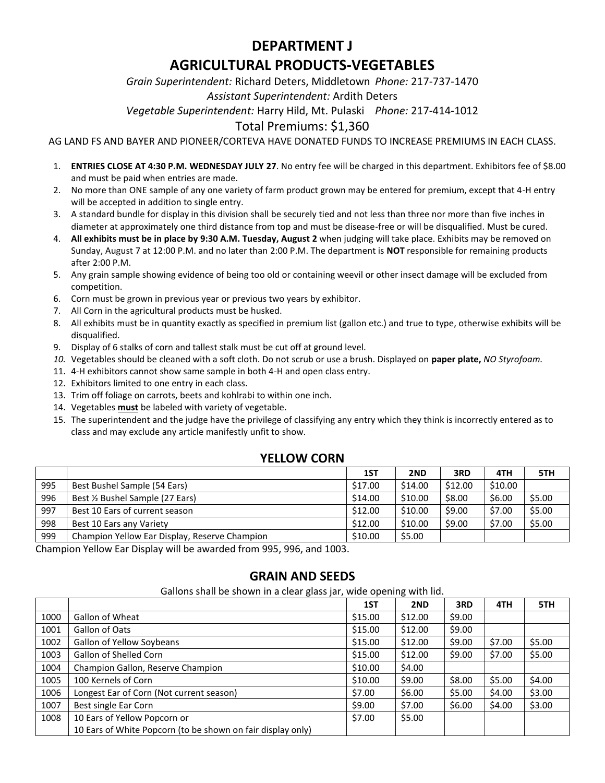# **DEPARTMENT J**

# **AGRICULTURAL PRODUCTS-VEGETABLES**

*Grain Superintendent:* Richard Deters, Middletown *Phone:* 217-737-1470

### *Assistant Superintendent:* Ardith Deters

*Vegetable Superintendent:* Harry Hild, Mt. Pulaski *Phone:* 217-414-1012

# Total Premiums: \$1,360

AG LAND FS AND BAYER AND PIONEER/CORTEVA HAVE DONATED FUNDS TO INCREASE PREMIUMS IN EACH CLASS.

- 1. **ENTRIES CLOSE AT 4:30 P.M. WEDNESDAY JULY 27**. No entry fee will be charged in this department. Exhibitors fee of \$8.00 and must be paid when entries are made.
- 2. No more than ONE sample of any one variety of farm product grown may be entered for premium, except that 4-H entry will be accepted in addition to single entry.
- 3. A standard bundle for display in this division shall be securely tied and not less than three nor more than five inches in diameter at approximately one third distance from top and must be disease-free or will be disqualified. Must be cured.
- 4. **All exhibits must be in place by 9:30 A.M. Tuesday, August 2** when judging will take place. Exhibits may be removed on Sunday, August 7 at 12:00 P.M. and no later than 2:00 P.M. The department is **NOT** responsible for remaining products after 2:00 P.M.
- 5. Any grain sample showing evidence of being too old or containing weevil or other insect damage will be excluded from competition.
- 6. Corn must be grown in previous year or previous two years by exhibitor.
- 7. All Corn in the agricultural products must be husked.
- 8. All exhibits must be in quantity exactly as specified in premium list (gallon etc.) and true to type, otherwise exhibits will be disqualified.
- 9. Display of 6 stalks of corn and tallest stalk must be cut off at ground level.
- *10.* Vegetables should be cleaned with a soft cloth. Do not scrub or use a brush. Displayed on **paper plate,** *NO Styrofoam.*
- 11. 4-H exhibitors cannot show same sample in both 4-H and open class entry.
- 12. Exhibitors limited to one entry in each class.
- 13. Trim off foliage on carrots, beets and kohlrabi to within one inch.
- 14. Vegetables **must** be labeled with variety of vegetable.
- 15. The superintendent and the judge have the privilege of classifying any entry which they think is incorrectly entered as to class and may exclude any article manifestly unfit to show.

#### **YELLOW CORN**

|     |                                               | 1ST     | 2ND     | 3RD     | 4TH     | 5TH    |
|-----|-----------------------------------------------|---------|---------|---------|---------|--------|
| 995 | Best Bushel Sample (54 Ears)                  | \$17.00 | \$14.00 | \$12.00 | \$10.00 |        |
| 996 | Best 1/2 Bushel Sample (27 Ears)              | \$14.00 | \$10.00 | \$8.00  | \$6.00  | \$5.00 |
| 997 | Best 10 Ears of current season                | \$12.00 | \$10.00 | \$9.00  | \$7.00  | \$5.00 |
| 998 | Best 10 Ears any Variety                      | \$12.00 | \$10.00 | \$9.00  | \$7.00  | \$5.00 |
| 999 | Champion Yellow Ear Display, Reserve Champion | \$10.00 | \$5.00  |         |         |        |

Champion Yellow Ear Display will be awarded from 995, 996, and 1003.

# **GRAIN AND SEEDS**

Gallons shall be shown in a clear glass jar, wide opening with lid.

|      |                                                             | 1ST     | 2ND     | 3RD    | 4TH    | 5TH    |
|------|-------------------------------------------------------------|---------|---------|--------|--------|--------|
| 1000 | <b>Gallon of Wheat</b>                                      | \$15.00 | \$12.00 | \$9.00 |        |        |
| 1001 | Gallon of Oats                                              | \$15.00 | \$12.00 | \$9.00 |        |        |
| 1002 | Gallon of Yellow Soybeans                                   | \$15.00 | \$12.00 | \$9.00 | \$7.00 | \$5.00 |
| 1003 | <b>Gallon of Shelled Corn</b>                               | \$15.00 | \$12.00 | \$9.00 | \$7.00 | \$5.00 |
| 1004 | Champion Gallon, Reserve Champion                           | \$10.00 | \$4.00  |        |        |        |
| 1005 | 100 Kernels of Corn                                         | \$10.00 | \$9.00  | \$8.00 | \$5.00 | \$4.00 |
| 1006 | Longest Ear of Corn (Not current season)                    | \$7.00  | \$6.00  | \$5.00 | \$4.00 | \$3.00 |
| 1007 | Best single Ear Corn                                        | \$9.00  | \$7.00  | \$6.00 | \$4.00 | \$3.00 |
| 1008 | 10 Ears of Yellow Popcorn or                                | \$7.00  | \$5.00  |        |        |        |
|      | 10 Ears of White Popcorn (to be shown on fair display only) |         |         |        |        |        |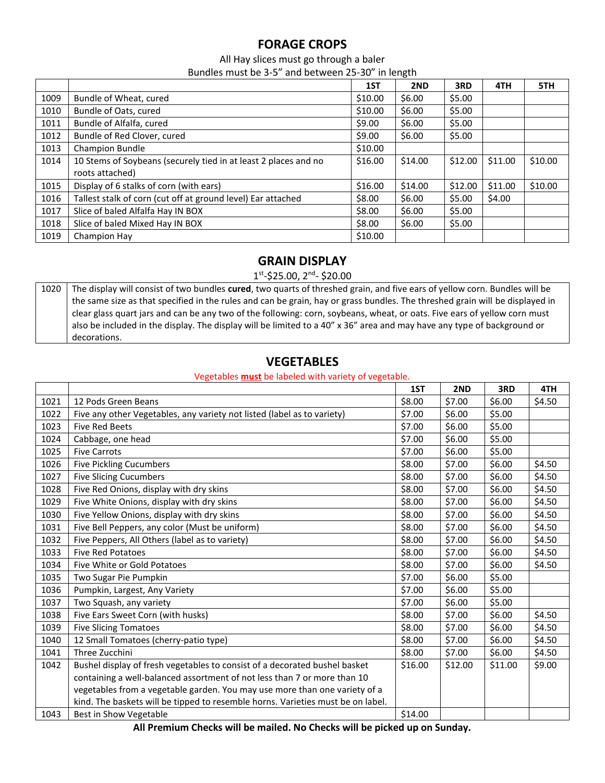# **FORAGE CROPS**

All Hay slices must go through a baler

Bundles must be 3-5" and between 25-30" in length

|      |                                                                 | 1ST     | 2ND     | 3RD     | 4TH     | 5TH     |
|------|-----------------------------------------------------------------|---------|---------|---------|---------|---------|
| 1009 | Bundle of Wheat, cured                                          | \$10.00 | \$6.00  | \$5.00  |         |         |
| 1010 | Bundle of Oats, cured                                           | \$10.00 | \$6.00  | \$5.00  |         |         |
| 1011 | Bundle of Alfalfa, cured                                        | \$9.00  | \$6.00  | \$5.00  |         |         |
| 1012 | Bundle of Red Clover, cured                                     | \$9.00  | \$6.00  | \$5.00  |         |         |
| 1013 | Champion Bundle                                                 | \$10.00 |         |         |         |         |
| 1014 | 10 Stems of Soybeans (securely tied in at least 2 places and no | \$16.00 | \$14.00 | \$12.00 | \$11.00 | \$10.00 |
|      | roots attached)                                                 |         |         |         |         |         |
| 1015 | Display of 6 stalks of corn (with ears)                         | \$16.00 | \$14.00 | \$12.00 | \$11.00 | \$10.00 |
| 1016 | Tallest stalk of corn (cut off at ground level) Ear attached    | \$8.00  | \$6.00  | \$5.00  | \$4.00  |         |
| 1017 | Slice of baled Alfalfa Hay IN BOX                               | \$8.00  | \$6.00  | \$5.00  |         |         |
| 1018 | Slice of baled Mixed Hay IN BOX                                 | \$8.00  | \$6.00  | \$5.00  |         |         |
| 1019 | Champion Hay                                                    | \$10.00 |         |         |         |         |

#### **GRAIN DISPLAY**

1st<sub>-</sub>\$25.00, 2<sup>nd</sup>- \$20.00

 The display will consist of two bundles **cured**, two quarts of threshed grain, and five ears of yellow corn. Bundles will be the same size as that specified in the rules and can be grain, hay or grass bundles. The threshed grain will be displayed in clear glass quart jars and can be any two of the following: corn, soybeans, wheat, or oats. Five ears of yellow corn must also be included in the display. The display will be limited to a 40" x 36" area and may have any type of background or decorations.

### **VEGETABLES**

#### Vegetables **must** be labeled with variety of vegetable.

|      |                                                                                 | 1ST     | 2ND     | 3RD     | 4TH    |
|------|---------------------------------------------------------------------------------|---------|---------|---------|--------|
| 1021 | 12 Pods Green Beans                                                             | \$8.00  | \$7.00  | \$6.00  | \$4.50 |
| 1022 | Five any other Vegetables, any variety not listed (label as to variety)         | \$7.00  | \$6.00  | \$5.00  |        |
| 1023 | <b>Five Red Beets</b>                                                           | \$7.00  | \$6.00  | \$5.00  |        |
| 1024 | Cabbage, one head                                                               | \$7.00  | \$6.00  | \$5.00  |        |
| 1025 | <b>Five Carrots</b>                                                             | \$7.00  | \$6.00  | \$5.00  |        |
| 1026 | <b>Five Pickling Cucumbers</b>                                                  | \$8.00  | \$7.00  | \$6.00  | \$4.50 |
| 1027 | <b>Five Slicing Cucumbers</b>                                                   | \$8.00  | \$7.00  | \$6.00  | \$4.50 |
| 1028 | Five Red Onions, display with dry skins                                         | \$8.00  | \$7.00  | \$6.00  | \$4.50 |
| 1029 | Five White Onions, display with dry skins                                       | \$8.00  | \$7.00  | \$6.00  | \$4.50 |
| 1030 | Five Yellow Onions, display with dry skins                                      | \$8.00  | \$7.00  | \$6.00  | \$4.50 |
| 1031 | Five Bell Peppers, any color (Must be uniform)                                  | \$8.00  | \$7.00  | \$6.00  | \$4.50 |
| 1032 | Five Peppers, All Others (label as to variety)                                  | \$8.00  | \$7.00  | \$6.00  | \$4.50 |
| 1033 | <b>Five Red Potatoes</b>                                                        | \$8.00  | \$7.00  | \$6.00  | \$4.50 |
| 1034 | Five White or Gold Potatoes                                                     | \$8.00  | \$7.00  | \$6.00  | \$4.50 |
| 1035 | Two Sugar Pie Pumpkin                                                           | \$7.00  | \$6.00  | \$5.00  |        |
| 1036 | Pumpkin, Largest, Any Variety                                                   | \$7.00  | \$6.00  | \$5.00  |        |
| 1037 | Two Squash, any variety                                                         | \$7.00  | \$6.00  | \$5.00  |        |
| 1038 | Five Ears Sweet Corn (with husks)                                               | \$8.00  | \$7.00  | \$6.00  | \$4.50 |
| 1039 | <b>Five Slicing Tomatoes</b>                                                    | \$8.00  | \$7.00  | \$6.00  | \$4.50 |
| 1040 | 12 Small Tomatoes (cherry-patio type)                                           | \$8.00  | \$7.00  | \$6.00  | \$4.50 |
| 1041 | Three Zucchini                                                                  | \$8.00  | \$7.00  | \$6.00  | \$4.50 |
| 1042 | Bushel display of fresh vegetables to consist of a decorated bushel basket      | \$16.00 | \$12.00 | \$11.00 | \$9.00 |
|      | containing a well-balanced assortment of not less than 7 or more than 10        |         |         |         |        |
|      | vegetables from a vegetable garden. You may use more than one variety of a      |         |         |         |        |
|      | kind. The baskets will be tipped to resemble horns. Varieties must be on label. |         |         |         |        |
| 1043 | Best in Show Vegetable                                                          | \$14.00 |         |         |        |

**All Premium Checks will be mailed. No Checks will be picked up on Sunday.**